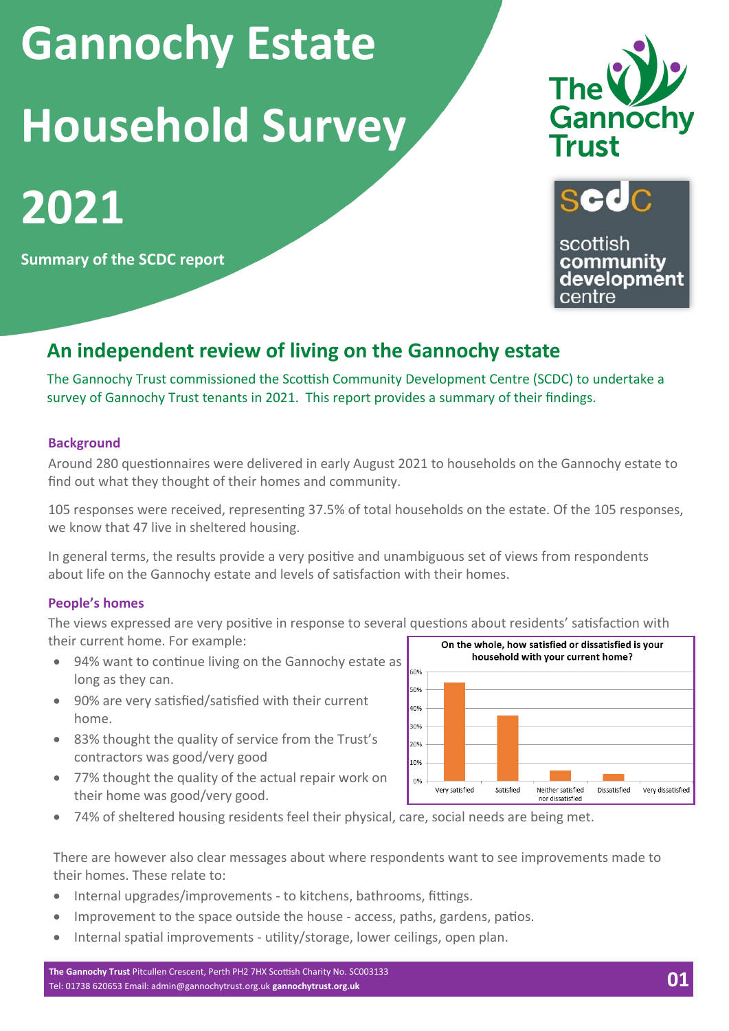**Gannochy Estate Household Survey**





scottish community development centre

**Summary of the SCDC report**

# **An independent review of living on the Gannochy estate**

The Gannochy Trust commissioned the Scottish Community Development Centre (SCDC) to undertake a survey of Gannochy Trust tenants in 2021. This report provides a summary of their findings.

### **Background**

**2021**

Around 280 questionnaires were delivered in early August 2021 to households on the Gannochy estate to find out what they thought of their homes and community.

105 responses were received, representing 37.5% of total households on the estate. Of the 105 responses, we know that 47 live in sheltered housing.

In general terms, the results provide a very positive and unambiguous set of views from respondents about life on the Gannochy estate and levels of satisfaction with their homes.

#### **People's homes**

The views expressed are very positive in response to several questions about residents' satisfaction with their current home. For example: On the whole, how satisfied or dissatisfied is your

- 94% want to continue living on the Gannochy estate as long as they can.
- 90% are very satisfied/satisfied with their current home.
- 83% thought the quality of service from the Trust's contractors was good/very good
- 77% thought the quality of the actual repair work on their home was good/very good.



• 74% of sheltered housing residents feel their physical, care, social needs are being met.

There are however also clear messages about where respondents want to see improvements made to their homes. These relate to:

- Internal upgrades/improvements to kitchens, bathrooms, fittings.
- Improvement to the space outside the house access, paths, gardens, patios.
- Internal spatial improvements utility/storage, lower ceilings, open plan.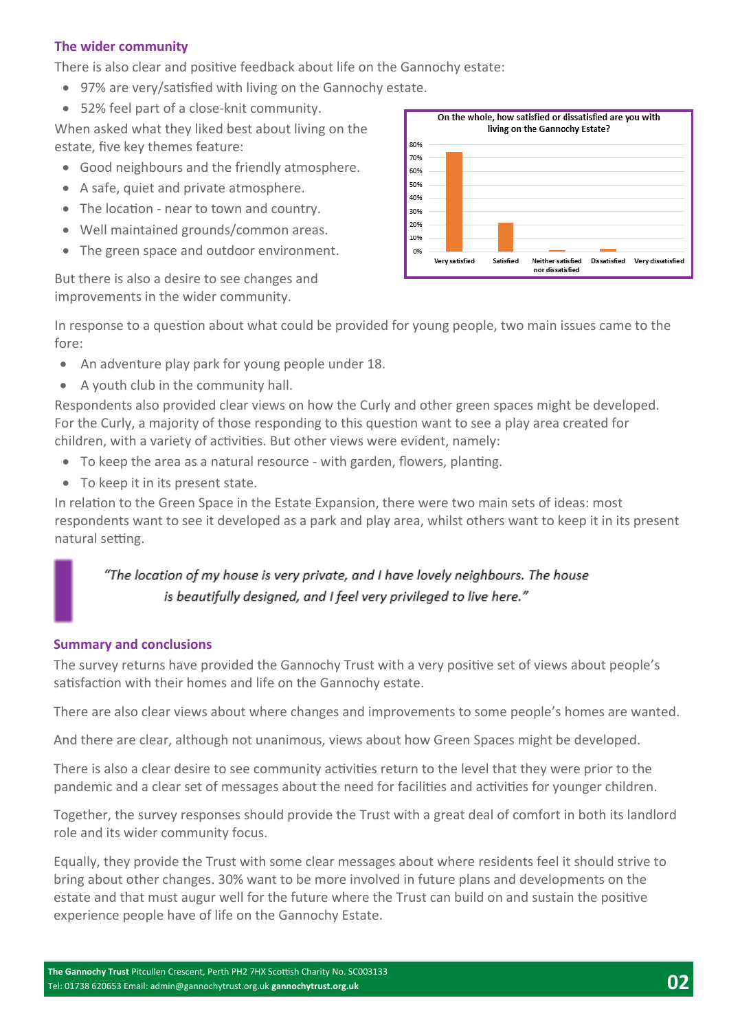### **The wider community**

There is also clear and positive feedback about life on the Gannochy estate:

- 97% are very/satisfied with living on the Gannochy estate.
- 52% feel part of a close-knit community.

When asked what they liked best about living on the estate, five key themes feature:

- Good neighbours and the friendly atmosphere.
- A safe, quiet and private atmosphere.
- The location near to town and country.
- Well maintained grounds/common areas.
- The green space and outdoor environment.

But there is also a desire to see changes and improvements in the wider community.



In response to a question about what could be provided for young people, two main issues came to the fore:

- An adventure play park for young people under 18.
- A youth club in the community hall.

Respondents also provided clear views on how the Curly and other green spaces might be developed. For the Curly, a majority of those responding to this question want to see a play area created for children, with a variety of activities. But other views were evident, namely:

- To keep the area as a natural resource with garden, flowers, planting.
- To keep it in its present state.

In relation to the Green Space in the Estate Expansion, there were two main sets of ideas: most respondents want to see it developed as a park and play area, whilst others want to keep it in its present natural setting.

## "The location of my house is very private, and I have lovely neighbours. The house is beautifully designed, and I feel very privileged to live here."

#### **Summary and conclusions**

The survey returns have provided the Gannochy Trust with a very positive set of views about people's satisfaction with their homes and life on the Gannochy estate.

There are also clear views about where changes and improvements to some people's homes are wanted.

And there are clear, although not unanimous, views about how Green Spaces might be developed.

There is also a clear desire to see community activities return to the level that they were prior to the pandemic and a clear set of messages about the need for facilities and activities for younger children.

Together, the survey responses should provide the Trust with a great deal of comfort in both its landlord role and its wider community focus.

Equally, they provide the Trust with some clear messages about where residents feel it should strive to bring about other changes. 30% want to be more involved in future plans and developments on the estate and that must augur well for the future where the Trust can build on and sustain the positive experience people have of life on the Gannochy Estate.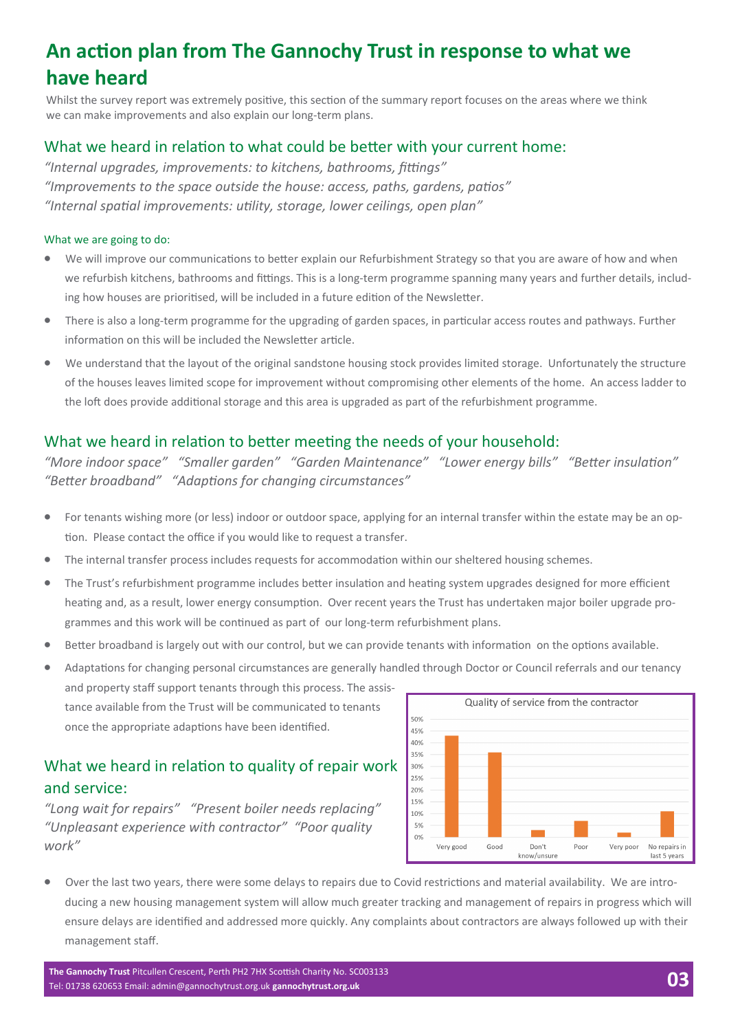# **An action plan from The Gannochy Trust in response to what we have heard**

Whilst the survey report was extremely positive, this section of the summary report focuses on the areas where we think we can make improvements and also explain our long-term plans.

### What we heard in relation to what could be better with your current home:

*"Internal upgrades, improvements: to kitchens, bathrooms, fittings" "Improvements to the space outside the house: access, paths, gardens, patios" "Internal spatial improvements: utility, storage, lower ceilings, open plan"* 

#### What we are going to do:

- We will improve our communications to better explain our Refurbishment Strategy so that you are aware of how and when we refurbish kitchens, bathrooms and fittings. This is a long-term programme spanning many years and further details, including how houses are prioritised, will be included in a future edition of the Newsletter.
- There is also a long-term programme for the upgrading of garden spaces, in particular access routes and pathways. Further information on this will be included the Newsletter article.
- We understand that the layout of the original sandstone housing stock provides limited storage. Unfortunately the structure of the houses leaves limited scope for improvement without compromising other elements of the home. An access ladder to the loft does provide additional storage and this area is upgraded as part of the refurbishment programme.

## What we heard in relation to better meeting the needs of your household:

*"More indoor space" "Smaller garden" "Garden Maintenance" "Lower energy bills" "Better insulation" "Better broadband" "Adaptions for changing circumstances"* 

- For tenants wishing more (or less) indoor or outdoor space, applying for an internal transfer within the estate may be an option. Please contact the office if you would like to request a transfer.
- The internal transfer process includes requests for accommodation within our sheltered housing schemes.
- The Trust's refurbishment programme includes better insulation and heating system upgrades designed for more efficient heating and, as a result, lower energy consumption. Over recent years the Trust has undertaken major boiler upgrade programmes and this work will be continued as part of our long-term refurbishment plans.
- Better broadband is largely out with our control, but we can provide tenants with information on the options available.

• Adaptations for changing personal circumstances are generally handled through Doctor or Council referrals and our tenancy and property staff support tenants through this process. The assis-Quality of service from the contractor tance available from the Trust will be communicated to tenants 50% once the appropriate adaptions have been identified. 45%

# What we heard in relation to quality of repair work and service:

*"Long wait for repairs" "Present boiler needs replacing" "Unpleasant experience with contractor" "Poor quality work"* 



• Over the last two years, there were some delays to repairs due to Covid restrictions and material availability. We are introducing a new housing management system will allow much greater tracking and management of repairs in progress which will ensure delays are identified and addressed more quickly. Any complaints about contractors are always followed up with their management staff.

**The Gannochy Trust** Pitcullen Crescent, Perth PH2 7HX Scottish Charity No. SC003133 Tel: 01738 620653 Email[: admin@gannochytrust.org.uk](mailto:admin@gannochytrust.org.uk) **gannochytrust.org.uk 03**